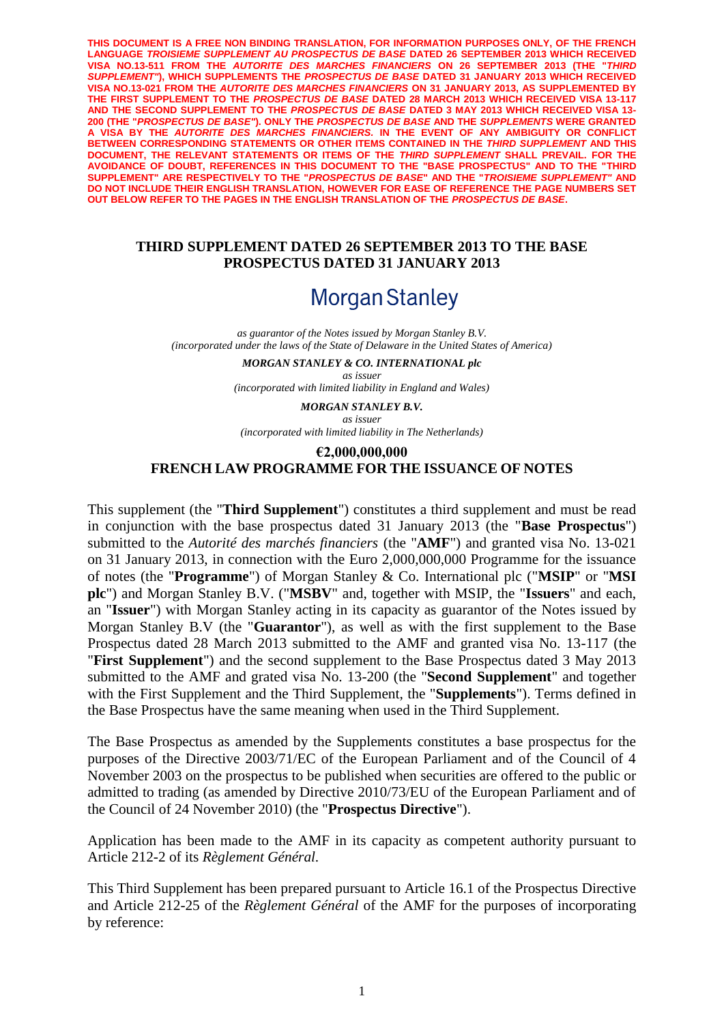**THIS DOCUMENT IS A FREE NON BINDING TRANSLATION, FOR INFORMATION PURPOSES ONLY, OF THE FRENCH LANGUAGE** *TROISIEME SUPPLEMENT AU PROSPECTUS DE BASE* **DATED 26 SEPTEMBER 2013 WHICH RECEIVED VISA NO.13-511 FROM THE** *AUTORITE DES MARCHES FINANCIERS* **ON 26 SEPTEMBER 2013 (THE "***THIRD SUPPLEMENT"***), WHICH SUPPLEMENTS THE** *PROSPECTUS DE BASE* **DATED 31 JANUARY 2013 WHICH RECEIVED VISA NO.13-021 FROM THE** *AUTORITE DES MARCHES FINANCIERS* **ON 31 JANUARY 2013, AS SUPPLEMENTED BY THE FIRST SUPPLEMENT TO THE** *PROSPECTUS DE BASE* **DATED 28 MARCH 2013 WHICH RECEIVED VISA 13-117 AND THE SECOND SUPPLEMENT TO THE** *PROSPECTUS DE BASE* **DATED 3 MAY 2013 WHICH RECEIVED VISA 13- 200 (THE "***PROSPECTUS DE BASE"***). ONLY THE** *PROSPECTUS DE BASE* **AND THE** *SUPPLEMENTS* **WERE GRANTED A VISA BY THE** *AUTORITE DES MARCHES FINANCIERS.* **IN THE EVENT OF ANY AMBIGUITY OR CONFLICT BETWEEN CORRESPONDING STATEMENTS OR OTHER ITEMS CONTAINED IN THE** *THIRD SUPPLEMENT* **AND THIS DOCUMENT, THE RELEVANT STATEMENTS OR ITEMS OF THE** *THIRD SUPPLEMENT* **SHALL PREVAIL. FOR THE AVOIDANCE OF DOUBT, REFERENCES IN THIS DOCUMENT TO THE "BASE PROSPECTUS" AND TO THE "THIRD SUPPLEMENT" ARE RESPECTIVELY TO THE "***PROSPECTUS DE BASE***" AND THE "***TROISIEME SUPPLEMENT"* **AND DO NOT INCLUDE THEIR ENGLISH TRANSLATION, HOWEVER FOR EASE OF REFERENCE THE PAGE NUMBERS SET OUT BELOW REFER TO THE PAGES IN THE ENGLISH TRANSLATION OF THE** *PROSPECTUS DE BASE***.**

### **THIRD SUPPLEMENT DATED 26 SEPTEMBER 2013 TO THE BASE PROSPECTUS DATED 31 JANUARY 2013**

# **Morgan Stanley**

*as guarantor of the Notes issued by Morgan Stanley B.V. (incorporated under the laws of the State of Delaware in the United States of America)*

> *MORGAN STANLEY & CO. INTERNATIONAL plc as issuer*

*(incorporated with limited liability in England and Wales)*

*MORGAN STANLEY B.V. as issuer (incorporated with limited liability in The Netherlands)*

### **€2,000,000,000 FRENCH LAW PROGRAMME FOR THE ISSUANCE OF NOTES**

This supplement (the "**Third Supplement**") constitutes a third supplement and must be read in conjunction with the base prospectus dated 31 January 2013 (the "**Base Prospectus**") submitted to the *Autorité des marchés financiers* (the "**AMF**") and granted visa No. 13-021 on 31 January 2013, in connection with the Euro 2,000,000,000 Programme for the issuance of notes (the "**Programme**") of Morgan Stanley & Co. International plc ("**MSIP**" or "**MSI plc**") and Morgan Stanley B.V. ("**MSBV**" and, together with MSIP, the "**Issuers**" and each, an "**Issuer**") with Morgan Stanley acting in its capacity as guarantor of the Notes issued by Morgan Stanley B.V (the "**Guarantor**"), as well as with the first supplement to the Base Prospectus dated 28 March 2013 submitted to the AMF and granted visa No. 13-117 (the "**First Supplement**") and the second supplement to the Base Prospectus dated 3 May 2013 submitted to the AMF and grated visa No. 13-200 (the "**Second Supplement**" and together with the First Supplement and the Third Supplement, the "**Supplements**"). Terms defined in the Base Prospectus have the same meaning when used in the Third Supplement.

The Base Prospectus as amended by the Supplements constitutes a base prospectus for the purposes of the Directive 2003/71/EC of the European Parliament and of the Council of 4 November 2003 on the prospectus to be published when securities are offered to the public or admitted to trading (as amended by Directive 2010/73/EU of the European Parliament and of the Council of 24 November 2010) (the "**Prospectus Directive**").

Application has been made to the AMF in its capacity as competent authority pursuant to Article 212-2 of its *Règlement Général.*

This Third Supplement has been prepared pursuant to Article 16.1 of the Prospectus Directive and Article 212-25 of the *Règlement Général* of the AMF for the purposes of incorporating by reference: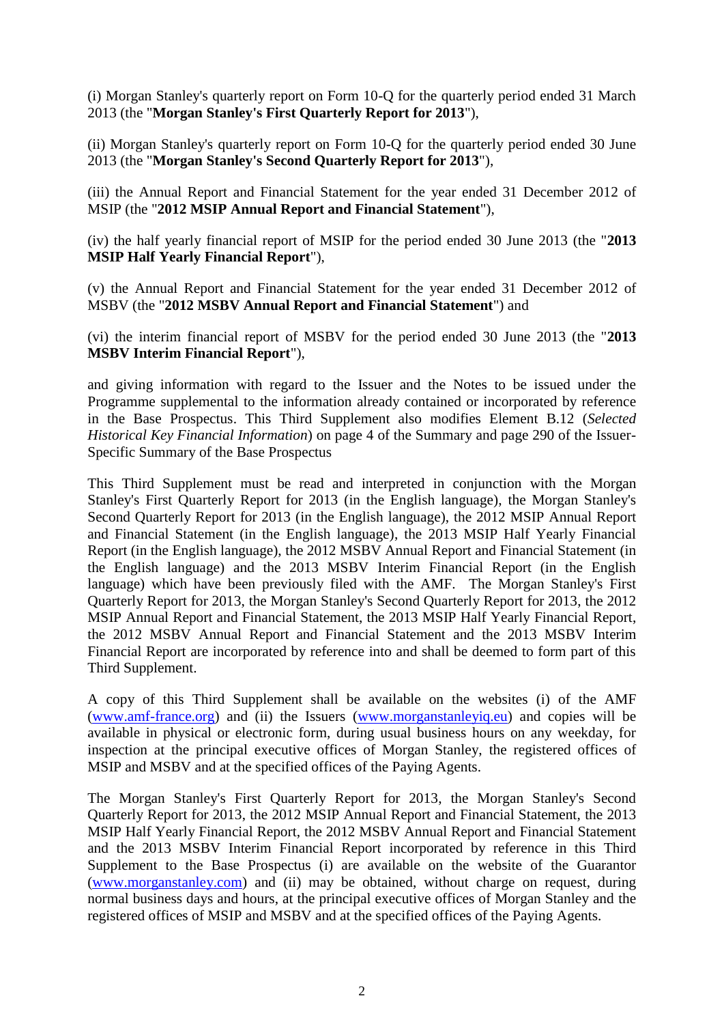(i) Morgan Stanley's quarterly report on Form 10-Q for the quarterly period ended 31 March 2013 (the "**Morgan Stanley's First Quarterly Report for 2013**"),

(ii) Morgan Stanley's quarterly report on Form 10-Q for the quarterly period ended 30 June 2013 (the "**Morgan Stanley's Second Quarterly Report for 2013**"),

(iii) the Annual Report and Financial Statement for the year ended 31 December 2012 of MSIP (the "**2012 MSIP Annual Report and Financial Statement**"),

(iv) the half yearly financial report of MSIP for the period ended 30 June 2013 (the "**2013 MSIP Half Yearly Financial Report**"),

(v) the Annual Report and Financial Statement for the year ended 31 December 2012 of MSBV (the "**2012 MSBV Annual Report and Financial Statement**") and

(vi) the interim financial report of MSBV for the period ended 30 June 2013 (the "**2013 MSBV Interim Financial Report**"),

and giving information with regard to the Issuer and the Notes to be issued under the Programme supplemental to the information already contained or incorporated by reference in the Base Prospectus. This Third Supplement also modifies Element B.12 (*Selected Historical Key Financial Information*) on page 4 of the Summary and page 290 of the Issuer-Specific Summary of the Base Prospectus

This Third Supplement must be read and interpreted in conjunction with the Morgan Stanley's First Quarterly Report for 2013 (in the English language), the Morgan Stanley's Second Quarterly Report for 2013 (in the English language), the 2012 MSIP Annual Report and Financial Statement (in the English language), the 2013 MSIP Half Yearly Financial Report (in the English language), the 2012 MSBV Annual Report and Financial Statement (in the English language) and the 2013 MSBV Interim Financial Report (in the English language) which have been previously filed with the AMF. The Morgan Stanley's First Quarterly Report for 2013, the Morgan Stanley's Second Quarterly Report for 2013, the 2012 MSIP Annual Report and Financial Statement, the 2013 MSIP Half Yearly Financial Report, the 2012 MSBV Annual Report and Financial Statement and the 2013 MSBV Interim Financial Report are incorporated by reference into and shall be deemed to form part of this Third Supplement.

A copy of this Third Supplement shall be available on the websites (i) of the AMF [\(www.amf-france.org\)](http://spr1.intranet.cliffordchance.com/sites/36-40545950/Documents/www.amf-france.org) and (ii) the Issuers [\(www.morganstanleyiq.eu\)](http://spr1.intranet.cliffordchance.com/sites/FR-3000-NEW/Documents/www.morganstanleyiq.eu) and copies will be available in physical or electronic form, during usual business hours on any weekday, for inspection at the principal executive offices of Morgan Stanley, the registered offices of MSIP and MSBV and at the specified offices of the Paying Agents.

The Morgan Stanley's First Quarterly Report for 2013, the Morgan Stanley's Second Quarterly Report for 2013, the 2012 MSIP Annual Report and Financial Statement, the 2013 MSIP Half Yearly Financial Report, the 2012 MSBV Annual Report and Financial Statement and the 2013 MSBV Interim Financial Report incorporated by reference in this Third Supplement to the Base Prospectus (i) are available on the website of the Guarantor [\(www.morganstanley.com\)](http://spr1.intranet.cliffordchance.com/sites/36-40545950/Documents/www.morganstanley.com) and (ii) may be obtained, without charge on request, during normal business days and hours, at the principal executive offices of Morgan Stanley and the registered offices of MSIP and MSBV and at the specified offices of the Paying Agents.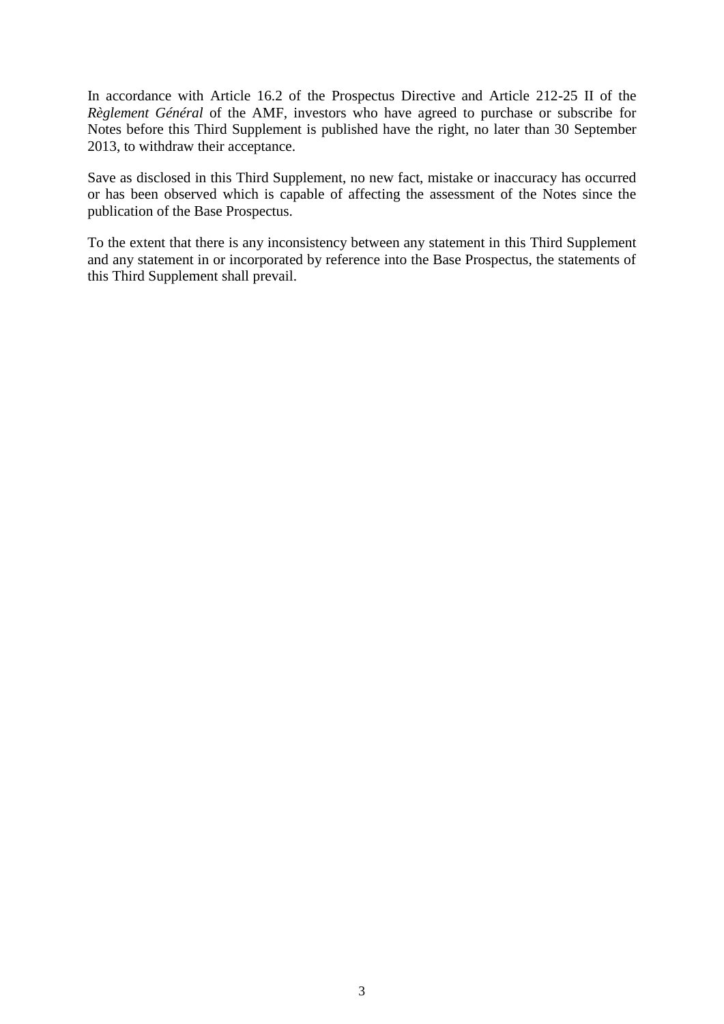In accordance with Article 16.2 of the Prospectus Directive and Article 212-25 II of the *Règlement Général* of the AMF, investors who have agreed to purchase or subscribe for Notes before this Third Supplement is published have the right, no later than 30 September 2013, to withdraw their acceptance.

Save as disclosed in this Third Supplement, no new fact, mistake or inaccuracy has occurred or has been observed which is capable of affecting the assessment of the Notes since the publication of the Base Prospectus.

To the extent that there is any inconsistency between any statement in this Third Supplement and any statement in or incorporated by reference into the Base Prospectus, the statements of this Third Supplement shall prevail.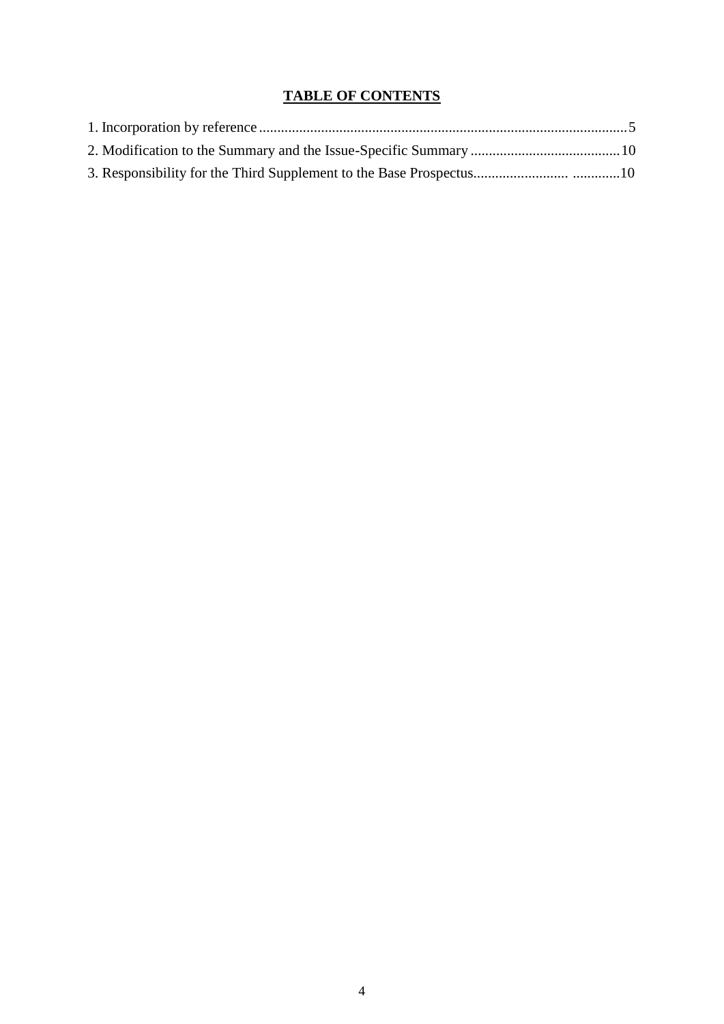## **TABLE OF CONTENTS**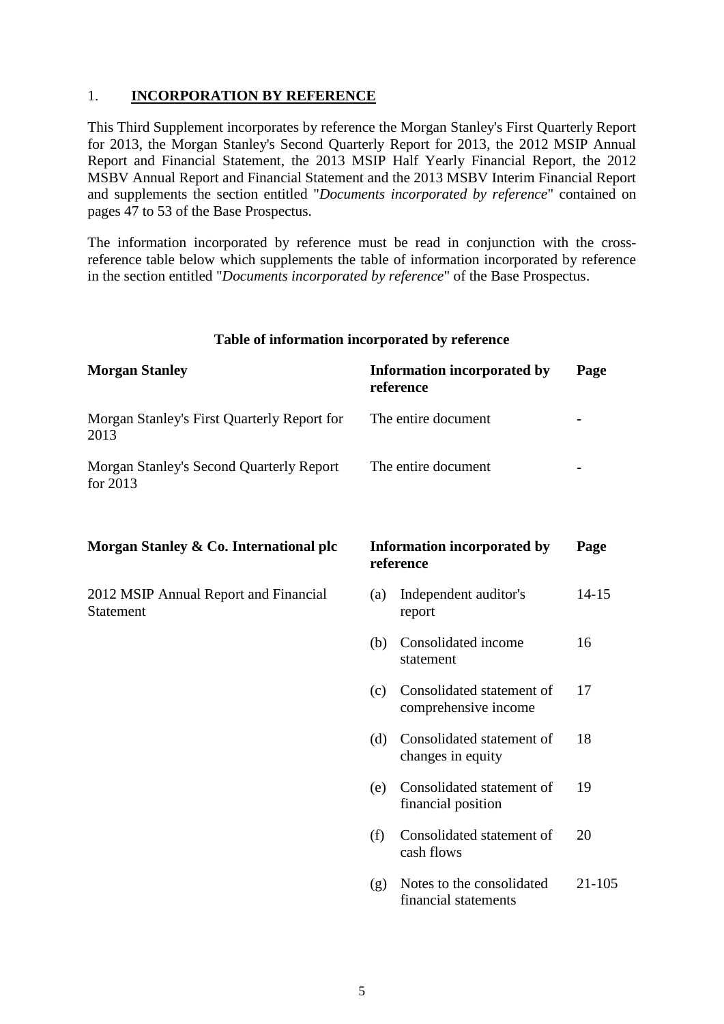### <span id="page-4-0"></span>1. **INCORPORATION BY REFERENCE**

This Third Supplement incorporates by reference the Morgan Stanley's First Quarterly Report for 2013, the Morgan Stanley's Second Quarterly Report for 2013, the 2012 MSIP Annual Report and Financial Statement, the 2013 MSIP Half Yearly Financial Report, the 2012 MSBV Annual Report and Financial Statement and the 2013 MSBV Interim Financial Report and supplements the section entitled "*Documents incorporated by reference*" contained on pages 47 to 53 of the Base Prospectus.

The information incorporated by reference must be read in conjunction with the crossreference table below which supplements the table of information incorporated by reference in the section entitled "*Documents incorporated by reference*" of the Base Prospectus.

### **Table of information incorporated by reference**

| <b>Morgan Stanley</b>                                     |     | <b>Information incorporated by</b><br>reference   | Page      |  |
|-----------------------------------------------------------|-----|---------------------------------------------------|-----------|--|
| Morgan Stanley's First Quarterly Report for<br>2013       |     | The entire document                               |           |  |
| Morgan Stanley's Second Quarterly Report<br>for 2013      |     | The entire document                               |           |  |
| Morgan Stanley & Co. International plc                    |     | <b>Information incorporated by</b><br>reference   | Page      |  |
| 2012 MSIP Annual Report and Financial<br><b>Statement</b> | (a) | Independent auditor's<br>report                   | $14 - 15$ |  |
|                                                           | (b) | Consolidated income<br>statement                  | 16        |  |
|                                                           | (c) | Consolidated statement of<br>comprehensive income | 17        |  |
|                                                           | (d) | Consolidated statement of<br>changes in equity    | 18        |  |
|                                                           | (e) | Consolidated statement of<br>financial position   | 19        |  |
|                                                           | (f) | Consolidated statement of<br>cash flows           | 20        |  |
|                                                           | (g) | Notes to the consolidated<br>financial statements | 21-105    |  |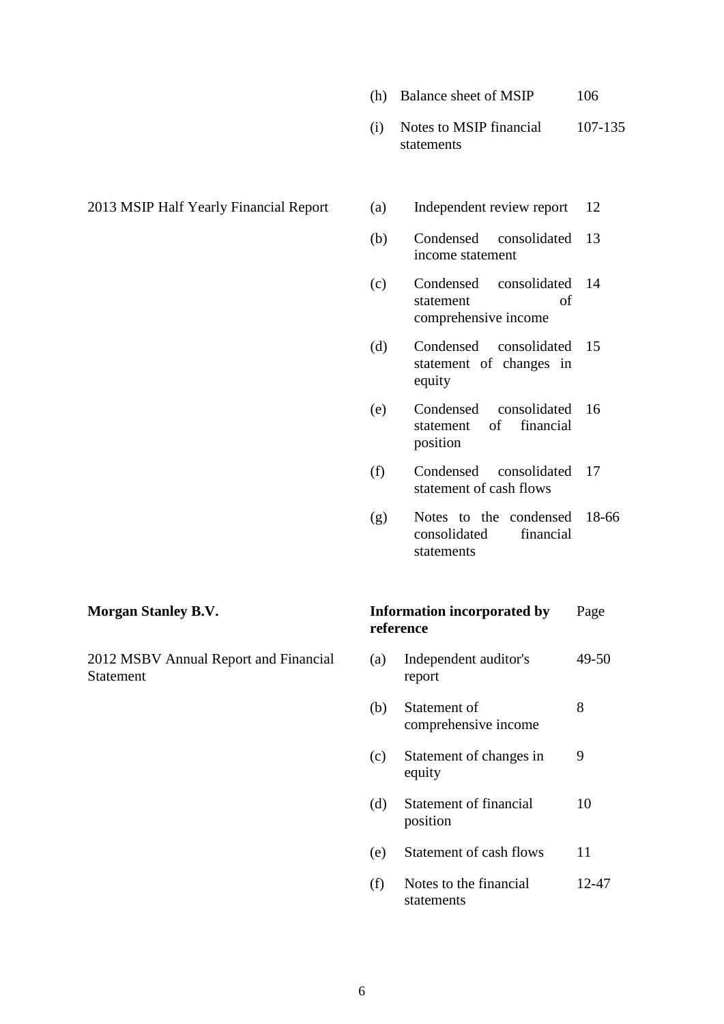- (h) Balance sheet of MSIP 106
- (i) Notes to MSIP financial statements 107-135
- 2013 MSIP Half Yearly Financial Report (a) Independent review report 12
	-
	- (b) Condensed consolidated income statement 13
	- (c) Condensed consolidated statement of comprehensive income 14
	- (d) Condensed consolidated 15 statement of changes in equity
	- (e) Condensed consolidated 16 statement of financial position
	- (f) Condensed consolidated 17 statement of cash flows
	- (g) Notes to the condensed 18-66 consolidated financial statements

2012 MSBV Annual Report and Financial **Statement** 

### **Morgan Stanley B.V. Information incorporated by reference** Page

- (a) Independent auditor's report 49-50
- (b) Statement of comprehensive income 8
- (c) Statement of changes in equity 9
- (d) Statement of financial position 10
- (e) Statement of cash flows 11
- (f) Notes to the financial statements 12-47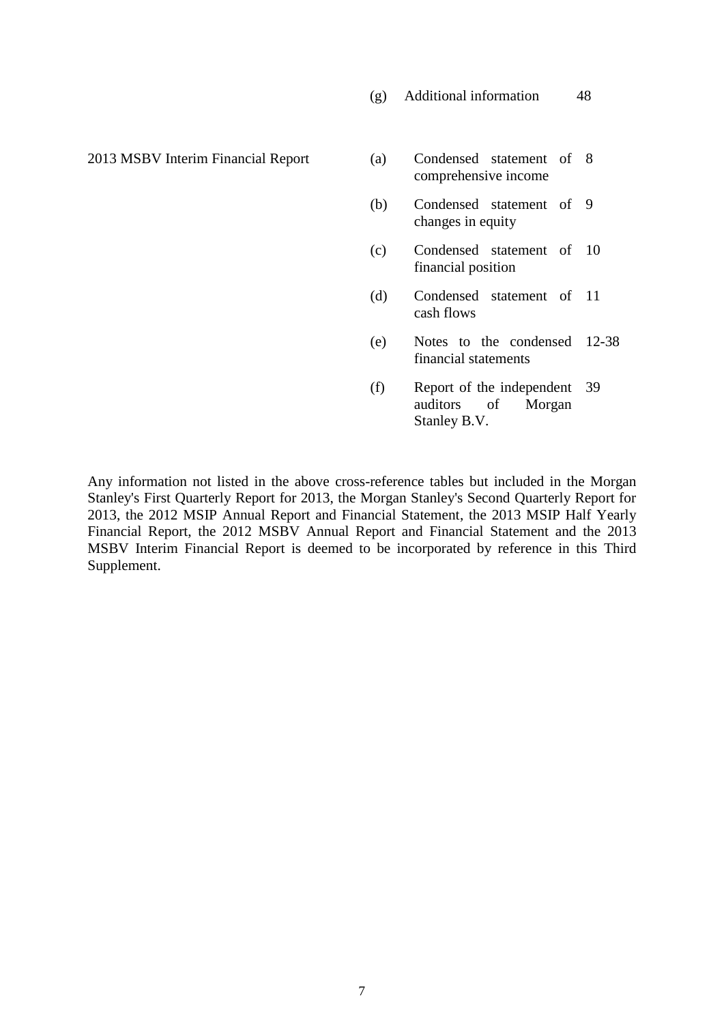(g) Additional information 48

 $2013$  MSBV Interim Financial Report (a)

- comprehensive income Condensed statement of 8
- (b) Condensed statement of 9 changes in equity
- (c) Condensed statement of 10 financial position
- (d) Condensed statement of 11 cash flows
- (e) Notes to the condensed 12-38 financial statements
- (f) Report of the independent 39 auditors of Morgan Stanley B.V.

Any information not listed in the above cross-reference tables but included in the Morgan Stanley's First Quarterly Report for 2013, the Morgan Stanley's Second Quarterly Report for 2013, the 2012 MSIP Annual Report and Financial Statement, the 2013 MSIP Half Yearly Financial Report, the 2012 MSBV Annual Report and Financial Statement and the 2013 MSBV Interim Financial Report is deemed to be incorporated by reference in this Third Supplement.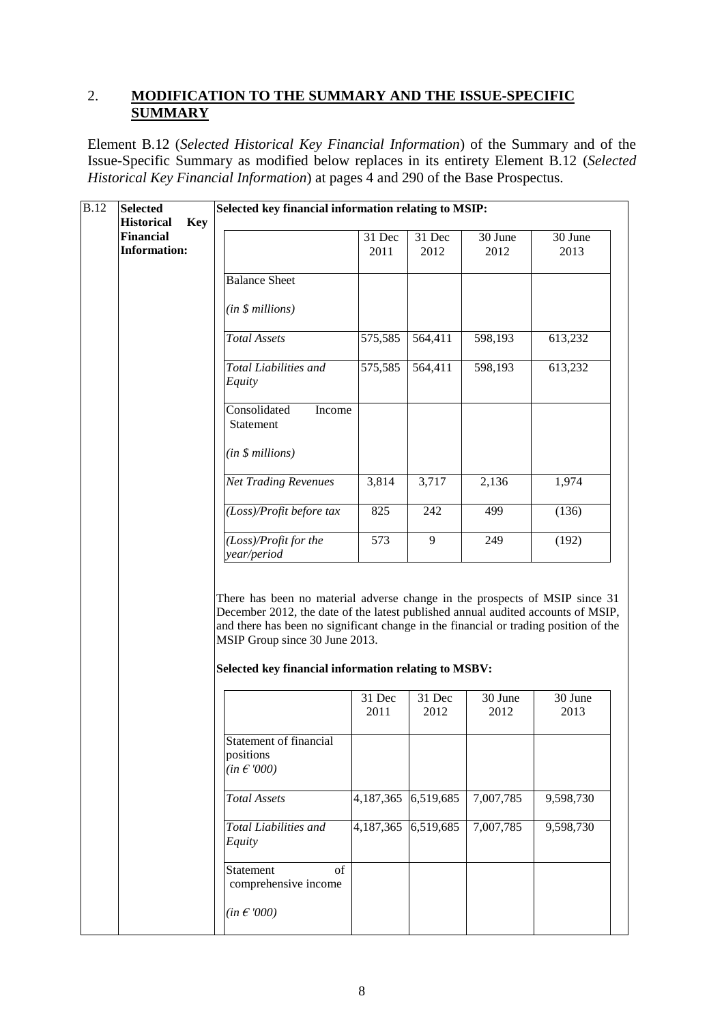### 2. **MODIFICATION TO THE SUMMARY AND THE ISSUE-SPECIFIC SUMMARY**

Element B.12 (*Selected Historical Key Financial Information*) of the Summary and of the Issue-Specific Summary as modified below replaces in its entirety Element B.12 (*Selected Historical Key Financial Information*) at pages 4 and 290 of the Base Prospectus.

| <b>B.12</b> | <b>Selected</b><br><b>Historical</b>                  | Selected key financial information relating to MSIP:                                                                                                                                                                                                                                                                                              |                |                |                 |                 |
|-------------|-------------------------------------------------------|---------------------------------------------------------------------------------------------------------------------------------------------------------------------------------------------------------------------------------------------------------------------------------------------------------------------------------------------------|----------------|----------------|-----------------|-----------------|
|             | <b>Key</b><br><b>Financial</b><br><b>Information:</b> |                                                                                                                                                                                                                                                                                                                                                   | 31 Dec<br>2011 | 31 Dec<br>2012 | 30 June<br>2012 | 30 June<br>2013 |
|             |                                                       | <b>Balance Sheet</b>                                                                                                                                                                                                                                                                                                                              |                |                |                 |                 |
|             |                                                       | (in \$millions)                                                                                                                                                                                                                                                                                                                                   |                |                |                 |                 |
|             |                                                       | <b>Total Assets</b>                                                                                                                                                                                                                                                                                                                               | 575,585        | 564,411        | 598,193         | 613,232         |
|             |                                                       | <b>Total Liabilities and</b><br>Equity                                                                                                                                                                                                                                                                                                            | 575,585        | 564,411        | 598,193         | 613,232         |
|             |                                                       | Consolidated<br>Income<br>Statement                                                                                                                                                                                                                                                                                                               |                |                |                 |                 |
|             |                                                       | (in \$ millions)                                                                                                                                                                                                                                                                                                                                  |                |                |                 |                 |
|             |                                                       | <b>Net Trading Revenues</b>                                                                                                                                                                                                                                                                                                                       | 3,814          | 3,717          | 2,136           | 1,974           |
|             |                                                       | (Loss)/Profit before tax                                                                                                                                                                                                                                                                                                                          | 825            | 242            | 499             | (136)           |
|             |                                                       | (Loss)/Profit for the<br>year/period                                                                                                                                                                                                                                                                                                              | 573            | 9              | 249             | (192)           |
|             |                                                       | There has been no material adverse change in the prospects of MSIP since 31<br>December 2012, the date of the latest published annual audited accounts of MSIP,<br>and there has been no significant change in the financial or trading position of the<br>MSIP Group since 30 June 2013.<br>Selected key financial information relating to MSBV: |                |                |                 |                 |
|             |                                                       |                                                                                                                                                                                                                                                                                                                                                   | 31 Dec         | 31 Dec         | 30 June         | 30 June         |
|             |                                                       |                                                                                                                                                                                                                                                                                                                                                   | 2011           | 2012           | 2012            | 2013            |
|             |                                                       | Statement of financial<br>positions<br>$(in \in 000)$                                                                                                                                                                                                                                                                                             |                |                |                 |                 |
|             |                                                       | <b>Total Assets</b>                                                                                                                                                                                                                                                                                                                               | 4,187,365      | 6,519,685      | 7,007,785       | 9,598,730       |
|             |                                                       | Total Liabilities and<br>Equity                                                                                                                                                                                                                                                                                                                   | 4,187,365      | 6,519,685      | 7,007,785       | 9,598,730       |
|             |                                                       | of<br>Statement<br>comprehensive income                                                                                                                                                                                                                                                                                                           |                |                |                 |                 |
|             |                                                       | $(in \in 000)$                                                                                                                                                                                                                                                                                                                                    |                |                |                 |                 |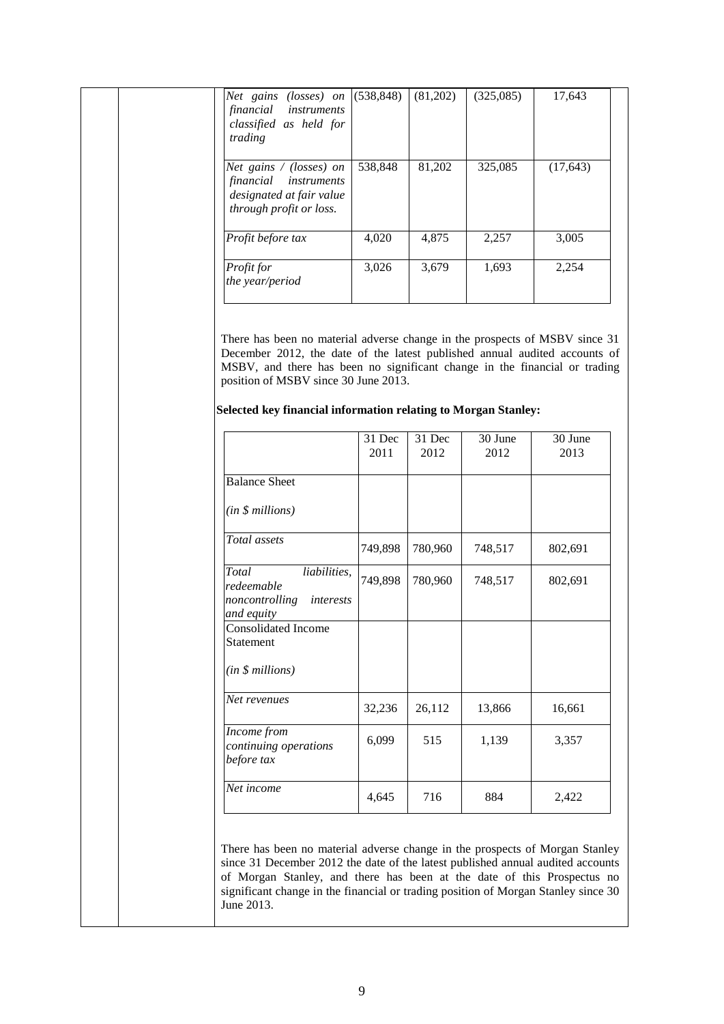| Net gains (losses) on $(538,848)$<br>financial instruments<br>classified as held for<br>trading               |         | (81,202) | (325,085) | 17,643    |
|---------------------------------------------------------------------------------------------------------------|---------|----------|-----------|-----------|
| Net gains $\land$ (losses) on<br>financial instruments<br>designated at fair value<br>through profit or loss. | 538,848 | 81,202   | 325,085   | (17, 643) |
| Profit before tax                                                                                             | 4,020   | 4,875    | 2,257     | 3,005     |
| <i>Profit for</i><br>the year/period                                                                          | 3,026   | 3,679    | 1,693     | 2,254     |

There has been no material adverse change in the prospects of MSBV since 31 December 2012, the date of the latest published annual audited accounts of MSBV, and there has been no significant change in the financial or trading position of MSBV since 30 June 2013.

### **Selected key financial information relating to Morgan Stanley:**

|                                                                                  | 31 Dec<br>2011 | 31 Dec<br>2012 | 30 June<br>2012 | 30 June<br>2013 |
|----------------------------------------------------------------------------------|----------------|----------------|-----------------|-----------------|
| <b>Balance Sheet</b>                                                             |                |                |                 |                 |
| (in \$ millions)                                                                 |                |                |                 |                 |
| Total assets                                                                     | 749,898        | 780,960        | 748,517         | 802,691         |
| Total<br>liabilities,<br>redeemable<br>noncontrolling<br>interests<br>and equity | 749,898        | 780,960        | 748,517         | 802,691         |
| <b>Consolidated Income</b><br>Statement                                          |                |                |                 |                 |
| (in \$millions)                                                                  |                |                |                 |                 |
| Net revenues                                                                     | 32,236         | 26,112         | 13,866          | 16,661          |
| Income from<br>continuing operations<br>before tax                               | 6,099          | 515            | 1,139           | 3,357           |
| Net income                                                                       | 4,645          | 716            | 884             | 2,422           |

There has been no material adverse change in the prospects of Morgan Stanley since 31 December 2012 the date of the latest published annual audited accounts of Morgan Stanley, and there has been at the date of this Prospectus no significant change in the financial or trading position of Morgan Stanley since 30 June 2013.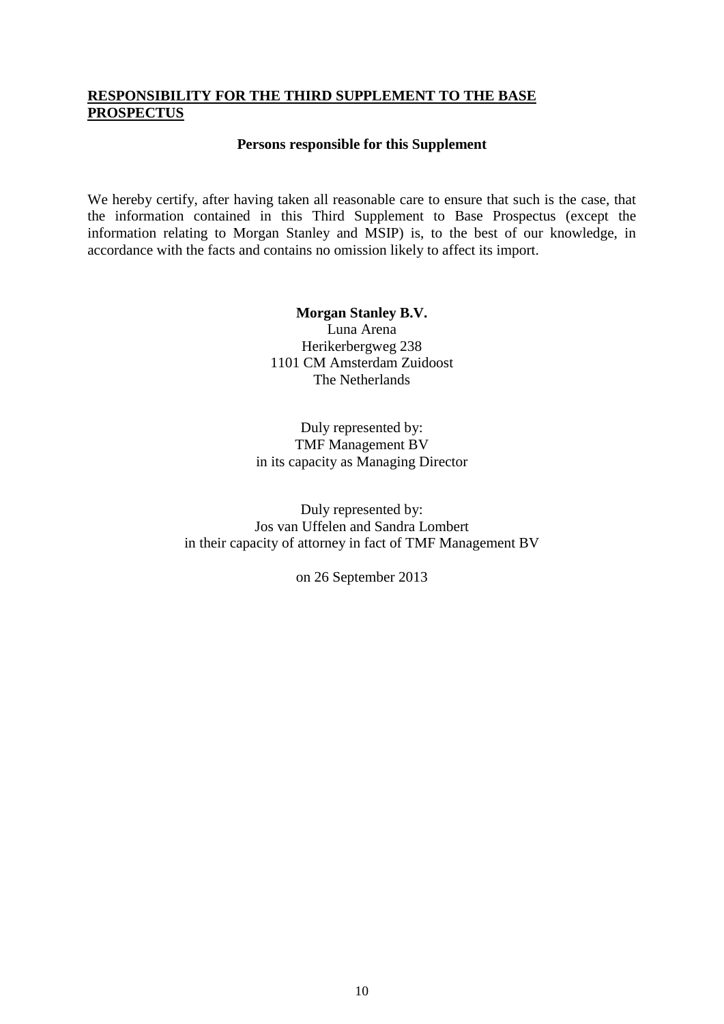### <span id="page-9-0"></span>**RESPONSIBILITY FOR THE THIRD SUPPLEMENT TO THE BASE PROSPECTUS**

### **Persons responsible for this Supplement**

We hereby certify, after having taken all reasonable care to ensure that such is the case, that the information contained in this Third Supplement to Base Prospectus (except the information relating to Morgan Stanley and MSIP) is, to the best of our knowledge, in accordance with the facts and contains no omission likely to affect its import.

> **Morgan Stanley B.V.** Luna Arena Herikerbergweg 238 1101 CM Amsterdam Zuidoost The Netherlands

Duly represented by: TMF Management BV in its capacity as Managing Director

Duly represented by: Jos van Uffelen and Sandra Lombert in their capacity of attorney in fact of TMF Management BV

on 26 September 2013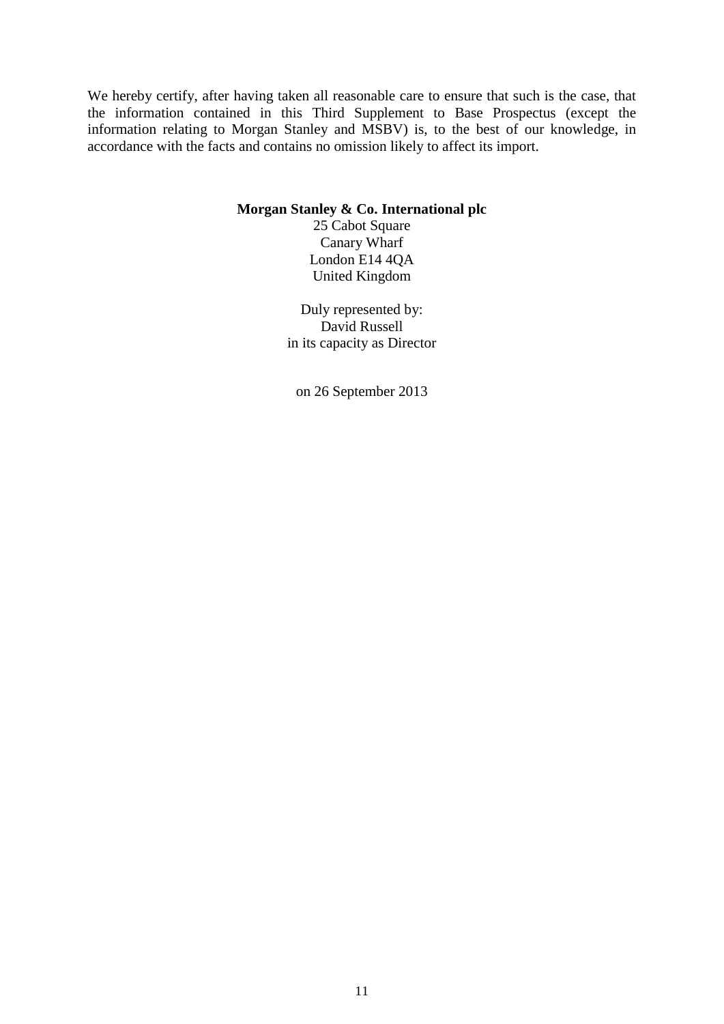We hereby certify, after having taken all reasonable care to ensure that such is the case, that the information contained in this Third Supplement to Base Prospectus (except the information relating to Morgan Stanley and MSBV) is, to the best of our knowledge, in accordance with the facts and contains no omission likely to affect its import.

### **Morgan Stanley & Co. International plc**

25 Cabot Square Canary Wharf London E14 4QA United Kingdom

Duly represented by: David Russell in its capacity as Director

on 26 September 2013